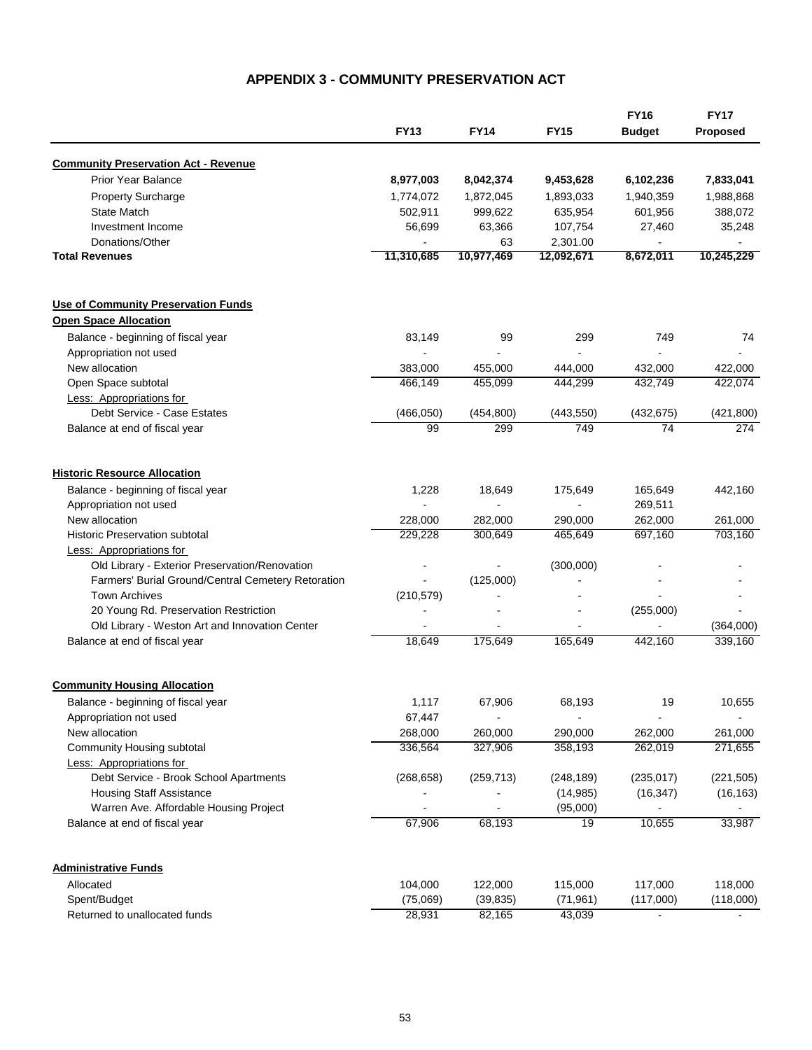## **APPENDIX 3 - COMMUNITY PRESERVATION ACT**

|                                                    | <b>FY13</b> | <b>FY14</b> | <b>FY15</b> | <b>FY16</b><br><b>Budget</b> | <b>FY17</b><br>Proposed |
|----------------------------------------------------|-------------|-------------|-------------|------------------------------|-------------------------|
|                                                    |             |             |             |                              |                         |
| <b>Community Preservation Act - Revenue</b>        |             |             |             |                              |                         |
| Prior Year Balance                                 | 8,977,003   | 8,042,374   | 9,453,628   | 6,102,236                    | 7,833,041               |
| <b>Property Surcharge</b>                          | 1,774,072   | 1,872,045   | 1,893,033   | 1,940,359                    | 1,988,868               |
| <b>State Match</b>                                 | 502,911     | 999,622     | 635,954     | 601,956                      | 388,072                 |
| Investment Income                                  | 56,699      | 63,366      | 107,754     | 27,460                       | 35,248                  |
| Donations/Other                                    |             | 63          | 2,301.00    | ä,                           |                         |
| <b>Total Revenues</b>                              | 11,310,685  | 10,977,469  | 12,092,671  | 8,672,011                    | 10,245,229              |
| <b>Use of Community Preservation Funds</b>         |             |             |             |                              |                         |
| <b>Open Space Allocation</b>                       |             |             |             |                              |                         |
| Balance - beginning of fiscal year                 | 83,149      | 99          | 299         | 749                          | 74                      |
| Appropriation not used                             |             |             | ä,          | L.                           |                         |
| New allocation                                     | 383,000     | 455,000     | 444,000     | 432,000                      | 422,000                 |
| Open Space subtotal                                | 466,149     | 455,099     | 444,299     | 432,749                      | 422,074                 |
| <b>Less: Appropriations for</b>                    |             |             |             |                              |                         |
| Debt Service - Case Estates                        | (466, 050)  | (454, 800)  | (443, 550)  | (432, 675)                   | (421, 800)              |
| Balance at end of fiscal year                      | 99          | 299         | 749         | 74                           | 274                     |
| <b>Historic Resource Allocation</b>                |             |             |             |                              |                         |
| Balance - beginning of fiscal year                 | 1,228       | 18,649      | 175,649     | 165,649                      | 442,160                 |
| Appropriation not used                             |             | ä,          |             | 269,511                      |                         |
| New allocation                                     | 228,000     | 282,000     | 290,000     | 262,000                      | 261,000                 |
| <b>Historic Preservation subtotal</b>              | 229,228     | 300,649     | 465,649     | 697,160                      | 703,160                 |
| <b>Less: Appropriations for</b>                    |             |             |             |                              |                         |
| Old Library - Exterior Preservation/Renovation     |             |             | (300,000)   |                              |                         |
| Farmers' Burial Ground/Central Cemetery Retoration |             | (125,000)   |             |                              |                         |
| <b>Town Archives</b>                               |             |             |             |                              |                         |
| 20 Young Rd. Preservation Restriction              | (210, 579)  |             |             | (255,000)                    |                         |
| Old Library - Weston Art and Innovation Center     |             |             |             |                              | (364,000)               |
| Balance at end of fiscal year                      | 18,649      | 175.649     | 165,649     | 442,160                      | 339,160                 |
|                                                    |             |             |             |                              |                         |
| <b>Community Housing Allocation</b>                |             |             |             |                              |                         |
| Balance - beginning of fiscal year                 | 1,117       | 67,906      | 68,193      | 19                           | 10,655                  |
| Appropriation not used                             | 67,447      |             |             |                              |                         |
| New allocation                                     | 268,000     | 260,000     | 290,000     | 262,000                      | 261,000                 |
| Community Housing subtotal                         | 336,564     | 327,906     | 358,193     | 262,019                      | 271,655                 |
| <b>Less: Appropriations for</b>                    |             |             |             |                              |                         |
| Debt Service - Brook School Apartments             | (268, 658)  | (259, 713)  | (248, 189)  | (235, 017)                   | (221, 505)              |
| <b>Housing Staff Assistance</b>                    |             |             | (14, 985)   | (16, 347)                    | (16, 163)               |
| Warren Ave. Affordable Housing Project             |             |             | (95,000)    |                              |                         |
| Balance at end of fiscal year                      | 67,906      | 68,193      | 19          | 10,655                       | 33,987                  |
| <b>Administrative Funds</b>                        |             |             |             |                              |                         |
| Allocated                                          | 104,000     | 122,000     | 115,000     | 117,000                      | 118,000                 |
| Spent/Budget                                       | (75,069)    | (39, 835)   | (71, 961)   | (117,000)                    | (118,000)               |
| Returned to unallocated funds                      | 28,931      | 82,165      | 43,039      | $\blacksquare$               |                         |